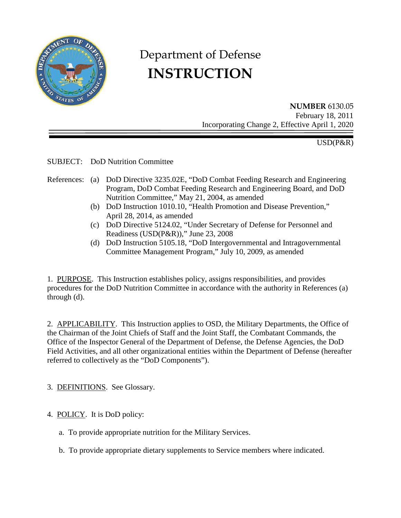

# Department of Defense **INSTRUCTION**

**NUMBER** 6130.05 February 18, 2011 Incorporating Change 2, Effective April 1, 2020

USD(P&R)

SUBJECT: DoD Nutrition Committee

- References: (a) DoD Directive 3235.02E, "DoD Combat Feeding Research and Engineering Program, DoD Combat Feeding Research and Engineering Board, and DoD Nutrition Committee," May 21, 2004, as amended
	- (b) DoD Instruction 1010.10, "Health Promotion and Disease Prevention," April 28, 2014, as amended
	- (c) DoD Directive 5124.02, "Under Secretary of Defense for Personnel and Readiness (USD(P&R))," June 23, 2008
	- (d) DoD Instruction 5105.18, "DoD Intergovernmental and Intragovernmental Committee Management Program," July 10, 2009, as amended

1. PURPOSE. This Instruction establishes policy, assigns responsibilities, and provides procedures for the DoD Nutrition Committee in accordance with the authority in References (a) through (d).

2. APPLICABILITY. This Instruction applies to OSD, the Military Departments, the Office of the Chairman of the Joint Chiefs of Staff and the Joint Staff, the Combatant Commands, the Office of the Inspector General of the Department of Defense, the Defense Agencies, the DoD Field Activities, and all other organizational entities within the Department of Defense (hereafter referred to collectively as the "DoD Components").

3. DEFINITIONS. See Glossary.

- 4. POLICY. It is DoD policy:
	- a. To provide appropriate nutrition for the Military Services.
	- b. To provide appropriate dietary supplements to Service members where indicated.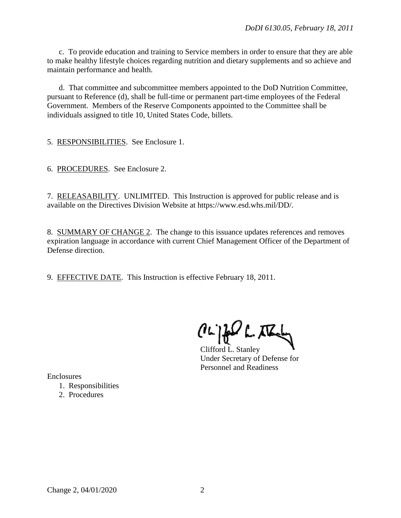c. To provide education and training to Service members in order to ensure that they are able to make healthy lifestyle choices regarding nutrition and dietary supplements and so achieve and maintain performance and health.

 d. That committee and subcommittee members appointed to the DoD Nutrition Committee, pursuant to Reference (d), shall be full-time or permanent part-time employees of the Federal Government. Members of the Reserve Components appointed to the Committee shall be individuals assigned to title 10, United States Code, billets.

5. RESPONSIBILITIES. See Enclosure 1.

6. PROCEDURES. See Enclosure 2.

7. RELEASABILITY. UNLIMITED. This Instruction is approved for public release and is available on the Directives Division Website at https://www.esd.whs.mil/DD/.

8. SUMMARY OF CHANGE 2. The change to this issuance updates references and removes expiration language in accordance with current Chief Management Officer of the Department of Defense direction.

9. EFFECTIVE DATE. This Instruction is effective February 18, 2011.

 $(l\omega)$ for the

Clifford L. Stanley Under Secretary of Defense for Personnel and Readiness

Enclosures

- 1. Responsibilities
- 2. Procedures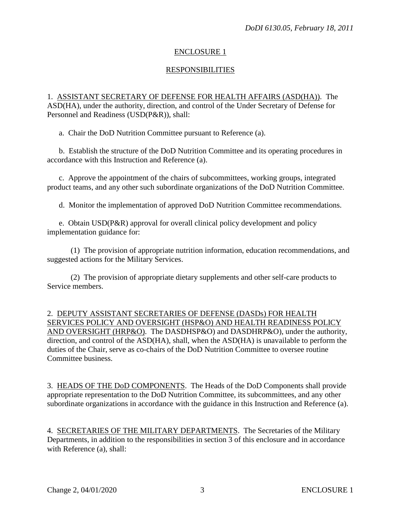# ENCLOSURE 1

# RESPONSIBILITIES

1. ASSISTANT SECRETARY OF DEFENSE FOR HEALTH AFFAIRS (ASD(HA)). The ASD(HA), under the authority, direction, and control of the Under Secretary of Defense for Personnel and Readiness (USD(P&R)), shall:

a. Chair the DoD Nutrition Committee pursuant to Reference (a).

 b. Establish the structure of the DoD Nutrition Committee and its operating procedures in accordance with this Instruction and Reference (a).

c. Approve the appointment of the chairs of subcommittees, working groups, integrated product teams, and any other such subordinate organizations of the DoD Nutrition Committee.

d. Monitor the implementation of approved DoD Nutrition Committee recommendations.

e. Obtain USD(P&R) approval for overall clinical policy development and policy implementation guidance for:

 (1) The provision of appropriate nutrition information, education recommendations, and suggested actions for the Military Services.

 (2) The provision of appropriate dietary supplements and other self-care products to Service members.

2. DEPUTY ASSISTANT SECRETARIES OF DEFENSE (DASDs) FOR HEALTH SERVICES POLICY AND OVERSIGHT (HSP&O) AND HEALTH READINESS POLICY AND OVERSIGHT (HRP&O). The DASDHSP&O) and DASDHRP&O), under the authority, direction, and control of the ASD(HA), shall, when the ASD(HA) is unavailable to perform the duties of the Chair, serve as co-chairs of the DoD Nutrition Committee to oversee routine Committee business.

3. HEADS OF THE DoD COMPONENTS. The Heads of the DoD Components shall provide appropriate representation to the DoD Nutrition Committee, its subcommittees, and any other subordinate organizations in accordance with the guidance in this Instruction and Reference (a).

4. SECRETARIES OF THE MILITARY DEPARTMENTS. The Secretaries of the Military Departments, in addition to the responsibilities in section 3 of this enclosure and in accordance with Reference (a), shall: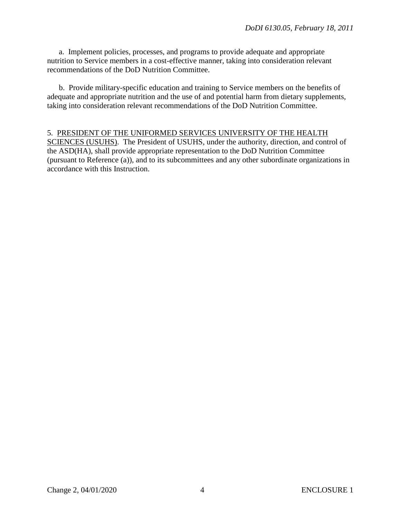a. Implement policies, processes, and programs to provide adequate and appropriate nutrition to Service members in a cost-effective manner, taking into consideration relevant recommendations of the DoD Nutrition Committee.

b. Provide military-specific education and training to Service members on the benefits of adequate and appropriate nutrition and the use of and potential harm from dietary supplements, taking into consideration relevant recommendations of the DoD Nutrition Committee.

#### 5. PRESIDENT OF THE UNIFORMED SERVICES UNIVERSITY OF THE HEALTH

SCIENCES (USUHS). The President of USUHS, under the authority, direction, and control of the ASD(HA), shall provide appropriate representation to the DoD Nutrition Committee (pursuant to Reference (a)), and to its subcommittees and any other subordinate organizations in accordance with this Instruction.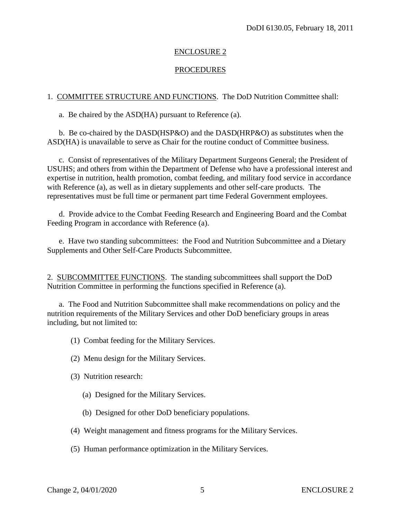#### ENCLOSURE 2

## **PROCEDURES**

#### 1. COMMITTEE STRUCTURE AND FUNCTIONS. The DoD Nutrition Committee shall:

a. Be chaired by the ASD(HA) pursuant to Reference (a).

b. Be co-chaired by the DASD(HSP&O) and the DASD(HRP&O) as substitutes when the ASD(HA) is unavailable to serve as Chair for the routine conduct of Committee business.

c. Consist of representatives of the Military Department Surgeons General; the President of USUHS; and others from within the Department of Defense who have a professional interest and expertise in nutrition, health promotion, combat feeding, and military food service in accordance with Reference (a), as well as in dietary supplements and other self-care products. The representatives must be full time or permanent part time Federal Government employees.

d. Provide advice to the Combat Feeding Research and Engineering Board and the Combat Feeding Program in accordance with Reference (a).

e. Have two standing subcommittees: the Food and Nutrition Subcommittee and a Dietary Supplements and Other Self-Care Products Subcommittee.

2. SUBCOMMITTEE FUNCTIONS. The standing subcommittees shall support the DoD Nutrition Committee in performing the functions specified in Reference (a).

a. The Food and Nutrition Subcommittee shall make recommendations on policy and the nutrition requirements of the Military Services and other DoD beneficiary groups in areas including, but not limited to:

(1) Combat feeding for the Military Services.

- (2) Menu design for the Military Services.
- (3) Nutrition research:
	- (a) Designed for the Military Services.
	- (b) Designed for other DoD beneficiary populations.
- (4) Weight management and fitness programs for the Military Services.
- (5) Human performance optimization in the Military Services.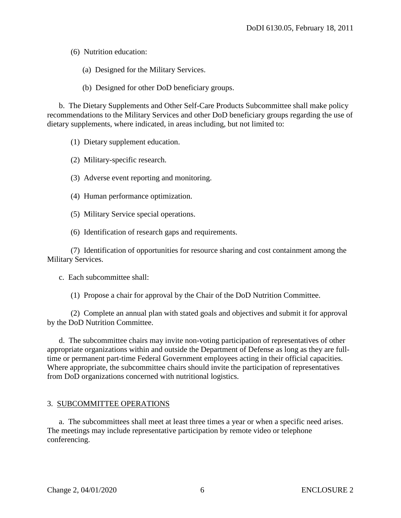(6) Nutrition education:

- (a) Designed for the Military Services.
- (b) Designed for other DoD beneficiary groups.

b. The Dietary Supplements and Other Self-Care Products Subcommittee shall make policy recommendations to the Military Services and other DoD beneficiary groups regarding the use of dietary supplements, where indicated, in areas including, but not limited to:

- (1) Dietary supplement education.
- (2) Military-specific research.
- (3) Adverse event reporting and monitoring.
- (4) Human performance optimization.
- (5) Military Service special operations.
- (6) Identification of research gaps and requirements.

(7) Identification of opportunities for resource sharing and cost containment among the Military Services.

c. Each subcommittee shall:

(1) Propose a chair for approval by the Chair of the DoD Nutrition Committee.

(2) Complete an annual plan with stated goals and objectives and submit it for approval by the DoD Nutrition Committee.

d. The subcommittee chairs may invite non-voting participation of representatives of other appropriate organizations within and outside the Department of Defense as long as they are fulltime or permanent part-time Federal Government employees acting in their official capacities. Where appropriate, the subcommittee chairs should invite the participation of representatives from DoD organizations concerned with nutritional logistics.

#### 3. SUBCOMMITTEE OPERATIONS

a. The subcommittees shall meet at least three times a year or when a specific need arises. The meetings may include representative participation by remote video or telephone conferencing.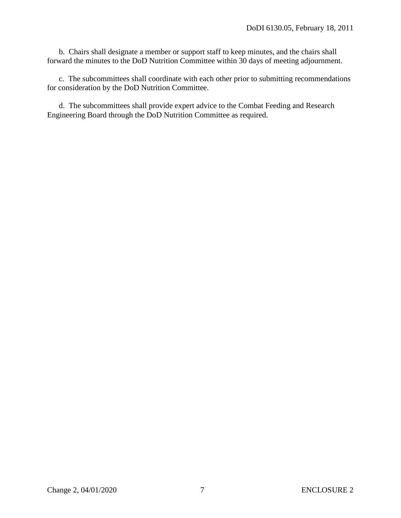b. Chairs shall designate a member or support staff to keep minutes, and the chairs shall forward the minutes to the DoD Nutrition Committee within 30 days of meeting adjournment.

c. The subcommittees shall coordinate with each other prior to submitting recommendations for consideration by the DoD Nutrition Committee.

d. The subcommittees shall provide expert advice to the Combat Feeding and Research Engineering Board through the DoD Nutrition Committee as required.